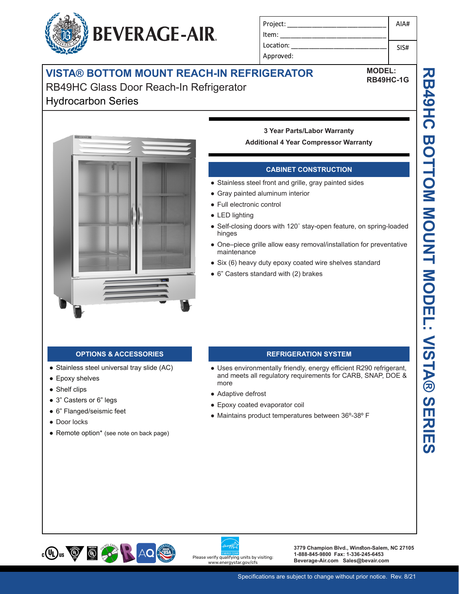## **VISTA® BOTTOM MOUNT REACH-IN REFRIGERATOR**

RB49HC Glass Door Reach-In Refrigerator

## Hydrocarbon Series



### **CABINET CONSTRUCTION**

● Stainless steel front and grille, gray painted sides

Project: Item: Location: Approved:

- Gray painted aluminum interior
- Full electronic control
- LED lighting
- Self-closing doors with 120° stay-open feature, on spring-loaded hinges
- One–piece grille allow easy removal/installation for preventative maintenance
- Six (6) heavy duty epoxy coated wire shelves standard
- 6" Casters standard with (2) brakes

- Stainless steel universal tray slide (AC)
- Epoxy shelves
- Shelf clips
- 3" Casters or 6" legs
- 6" Flanged/seismic feet
- Door locks
- Remote option\* (see note on back page)

#### **OPTIONS & ACCESSORIES REFRIGERATION SYSTEM**

- Uses environmentally friendly, energy efficient R290 refrigerant, and meets all regulatory requirements for CARB, SNAP, DOE & more
- Adaptive defrost
- Epoxy coated evaporator coil
- Maintains product temperatures between 36º-38º F







**3779 Champion Blvd., Winston-Salem, NC 27105 1-888-845-9800 Fax: 1-336-245-6453**  Please verify qualifying units by visiting:<br>**Beverage-Air.com Sales@bevair.com** 



AIA#

SIS#